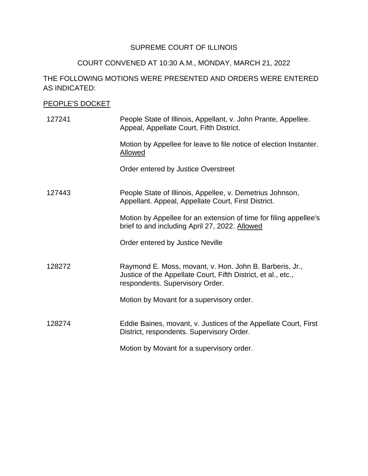# SUPREME COURT OF ILLINOIS

### COURT CONVENED AT 10:30 A.M., MONDAY, MARCH 21, 2022

# THE FOLLOWING MOTIONS WERE PRESENTED AND ORDERS WERE ENTERED AS INDICATED:

### PEOPLE'S DOCKET

| 127241 | People State of Illinois, Appellant, v. John Prante, Appellee.<br>Appeal, Appellate Court, Fifth District.                                                  |
|--------|-------------------------------------------------------------------------------------------------------------------------------------------------------------|
|        | Motion by Appellee for leave to file notice of election Instanter.<br>Allowed                                                                               |
|        | Order entered by Justice Overstreet                                                                                                                         |
| 127443 | People State of Illinois, Appellee, v. Demetrius Johnson,<br>Appellant. Appeal, Appellate Court, First District.                                            |
|        | Motion by Appellee for an extension of time for filing appellee's<br>brief to and including April 27, 2022. Allowed                                         |
|        | Order entered by Justice Neville                                                                                                                            |
| 128272 | Raymond E. Moss, movant, v. Hon. John B. Barberis, Jr.,<br>Justice of the Appellate Court, Fifth District, et al., etc.,<br>respondents. Supervisory Order. |
|        | Motion by Movant for a supervisory order.                                                                                                                   |
| 128274 | Eddie Baines, movant, v. Justices of the Appellate Court, First<br>District, respondents. Supervisory Order.                                                |
|        | Motion by Movant for a supervisory order.                                                                                                                   |